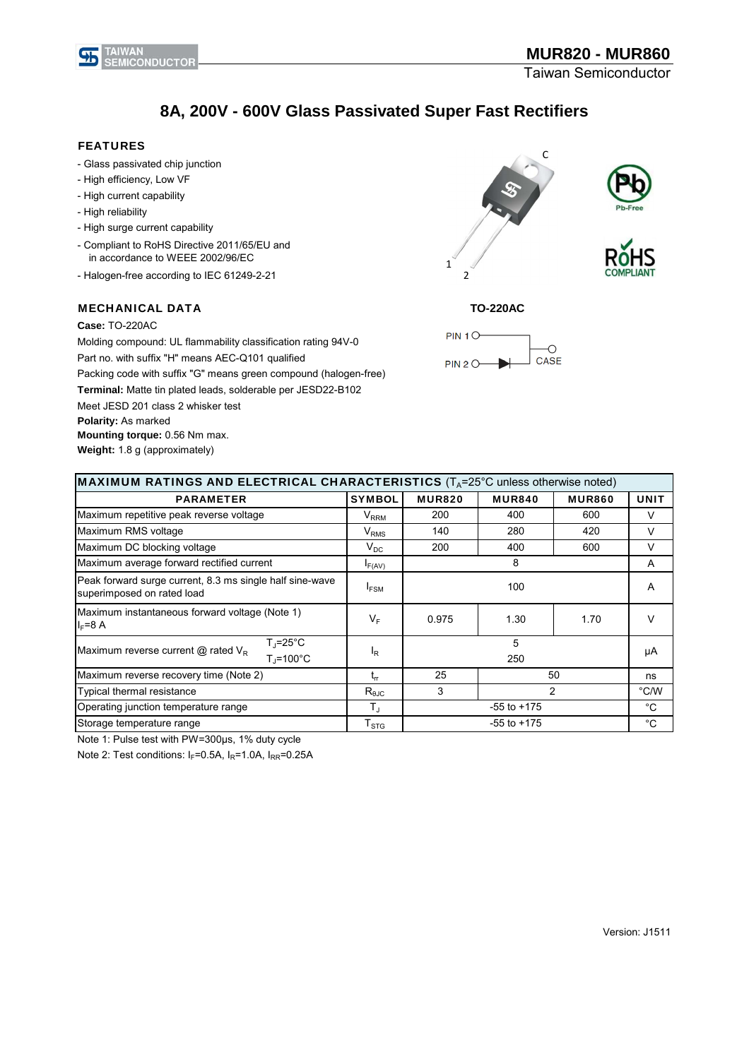

## **8A, 200V - 600V Glass Passivated Super Fast Rectifiers**

#### FEATURES

- Glass passivated chip junction
- High efficiency, Low VF
- High current capability
- High reliability
- High surge current capability
- Compliant to RoHS Directive 2011/65/EU and in accordance to WEEE 2002/96/EC
- Halogen-free according to IEC 61249-2-21

#### MECHANICAL DATA

#### **Case:** TO-220AC

Molding compound: UL flammability classification rating 94V-0 Part no. with suffix "H" means AEC-Q101 qualified Packing code with suffix "G" means green compound (halogen-free) **Terminal:** Matte tin plated leads, solderable per JESD22-B102 Meet JESD 201 class 2 whisker test **Polarity:** As marked **Mounting torque:** 0.56 Nm max. **Weight:** 1.8 g (approximately)









| <b>MAXIMUM RATINGS AND ELECTRICAL CHARACTERISTICS</b> ( $T_A$ =25°C unless otherwise noted) |                             |                 |               |               |             |  |
|---------------------------------------------------------------------------------------------|-----------------------------|-----------------|---------------|---------------|-------------|--|
| <b>PARAMETER</b>                                                                            | <b>SYMBOL</b>               | <b>MUR820</b>   | <b>MUR840</b> | <b>MUR860</b> | <b>UNIT</b> |  |
| Maximum repetitive peak reverse voltage                                                     | $\mathsf{V}_{\mathsf{RRM}}$ | 200             | 400           | 600           | V           |  |
| Maximum RMS voltage                                                                         | $V_{RMS}$                   | 140             | 280           | 420           | V           |  |
| Maximum DC blocking voltage                                                                 | $V_{DC}$                    | 200             | 400           | 600           | V           |  |
| Maximum average forward rectified current                                                   | F(AV)                       | 8               |               |               | A           |  |
| Peak forward surge current, 8.3 ms single half sine-wave<br>superimposed on rated load      | $I_{FSM}$                   | 100             |               |               | A           |  |
| Maximum instantaneous forward voltage (Note 1)<br>$I_F = 8$ A                               | $V_F$                       | 0.975           | 1.30          | 1.70          | V           |  |
| $T_{J}$ =25°C<br>Maximum reverse current $@$ rated $V_R$<br>$T_J = 100^{\circ}C$            | $I_R$                       | 5<br>250        |               | μA            |             |  |
| Maximum reverse recovery time (Note 2)                                                      | $t_{rr}$                    | 25              | 50            |               | ns          |  |
| Typical thermal resistance                                                                  | $R_{\theta$ JC              | 3               | 2             |               | °C/W        |  |
| Operating junction temperature range                                                        | $T_{\rm J}$                 | $-55$ to $+175$ |               |               | $^{\circ}C$ |  |
| Storage temperature range                                                                   | ${\sf T}_{\text{STG}}$      | $-55$ to $+175$ |               |               | $^{\circ}C$ |  |

Note 1: Pulse test with PW=300μs, 1% duty cycle

Note 2: Test conditions:  $I_F$ =0.5A,  $I_R$ =1.0A,  $I_{RR}$ =0.25A

Version: J1511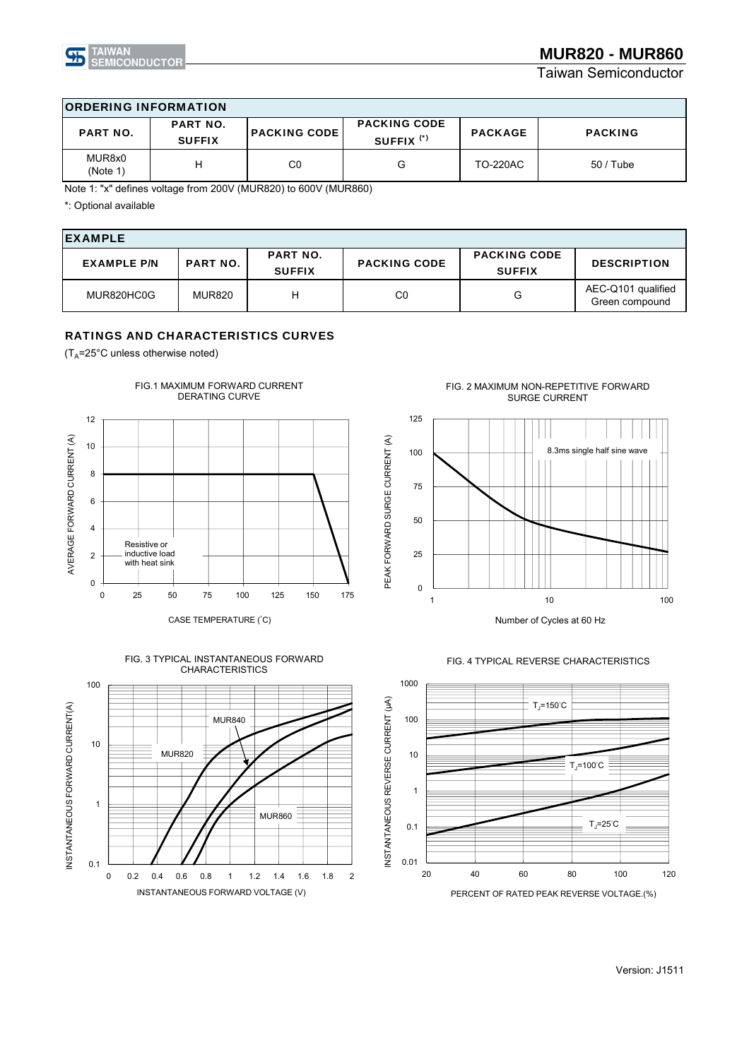

Taiwan Semiconductor

| <b>ORDERING INFORMATION</b> |                                  |                     |                                              |                 |                |  |
|-----------------------------|----------------------------------|---------------------|----------------------------------------------|-----------------|----------------|--|
| <b>PART NO.</b>             | <b>PART NO.</b><br><b>SUFFIX</b> | <b>PACKING CODE</b> | <b>PACKING CODE</b><br>SUFFIX <sup>(*)</sup> | <b>PACKAGE</b>  | <b>PACKING</b> |  |
| MUR8x0<br>(Note 1)          | н                                | C <sub>0</sub>      | G                                            | <b>TO-220AC</b> | $50/$ Tube     |  |

Note 1: "x" defines voltage from 200V (MUR820) to 600V (MUR860)

\*: Optional available

| <b>EXAMPLE</b>     |                 |                                  |                     |                                      |                                      |  |
|--------------------|-----------------|----------------------------------|---------------------|--------------------------------------|--------------------------------------|--|
| <b>EXAMPLE P/N</b> | <b>PART NO.</b> | <b>PART NO.</b><br><b>SUFFIX</b> | <b>PACKING CODE</b> | <b>PACKING CODE</b><br><b>SUFFIX</b> | <b>DESCRIPTION</b>                   |  |
| MUR820HC0G         | <b>MUR820</b>   | н                                | $_{\rm CO}$         | G                                    | AEC-Q101 qualified<br>Green compound |  |

#### RATINGS AND CHARACTERISTICS CURVES

 $(T_A = 25^{\circ}$ C unless otherwise noted)







FIG. 2 MAXIMUM NON-REPETITIVE FORWARD SURGE CURRENT





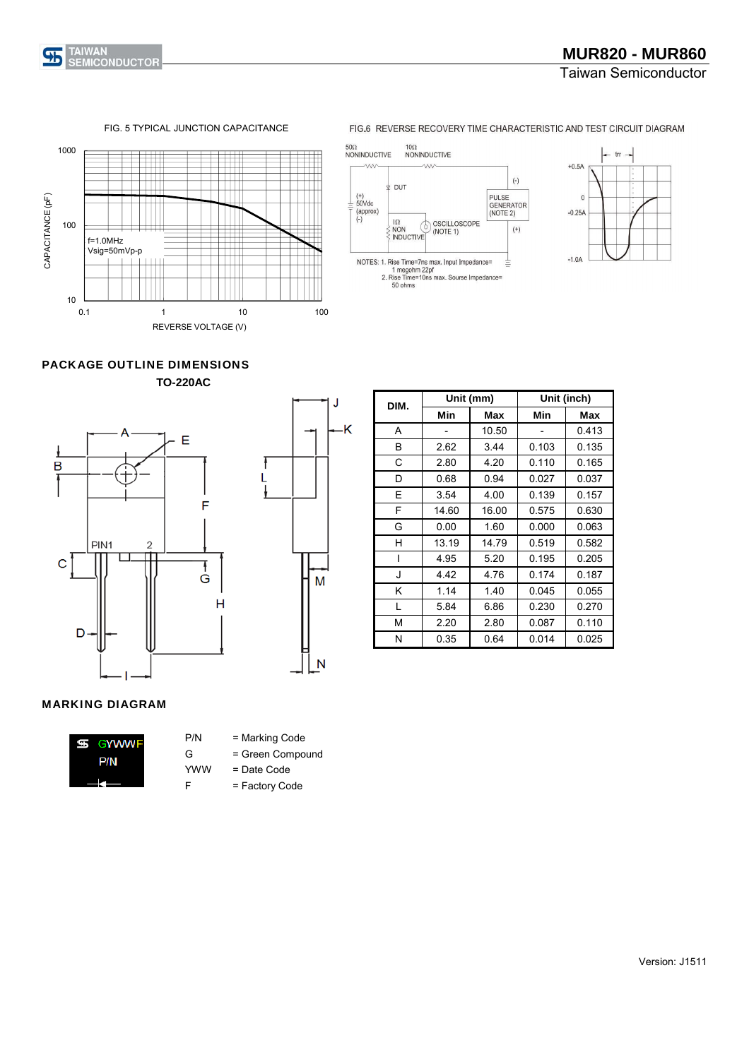

### Taiwan Semiconductor

#### FIG. 5 TYPICAL JUNCTION CAPACITANCE



#### FIG.6 REVERSE RECOVERY TIME CHARACTERISTIC AND TEST CIRCUIT DIAGRAM





PACKAGE OUTLINE DIMENSIONS **TO-220AC**





| DIM. |       | Unit (mm) | Unit (inch) |       |  |
|------|-------|-----------|-------------|-------|--|
|      | Min   | Max       | Min         | Max   |  |
| A    |       | 10.50     |             | 0.413 |  |
| B    | 2.62  | 3.44      | 0.103       | 0.135 |  |
| С    | 2.80  | 4.20      | 0.110       | 0.165 |  |
| D    | 0.68  | 0.94      | 0.027       | 0.037 |  |
| Е    | 3.54  | 4.00      | 0.139       | 0.157 |  |
| F    | 14.60 | 16.00     | 0.575       | 0.630 |  |
| G    | 0.00  | 1.60      | 0.000       | 0.063 |  |
| н    | 13.19 | 14.79     | 0.519       | 0.582 |  |
| I    | 4.95  | 5.20      | 0.195       | 0.205 |  |
| J    | 4.42  | 4.76      | 0.174       | 0.187 |  |
| K    | 1.14  | 1.40      | 0.045       | 0.055 |  |
| L    | 5.84  | 6.86      | 0.230       | 0.270 |  |
| M    | 2.20  | 2.80      | 0.087       | 0.110 |  |
| N    | 0.35  | 0.64      | 0.014       | 0.025 |  |

#### MARKING DIAGRAM



- P/N = Marking Code
- G = Green Compound
- YWW = Date Code
- F = Factory Code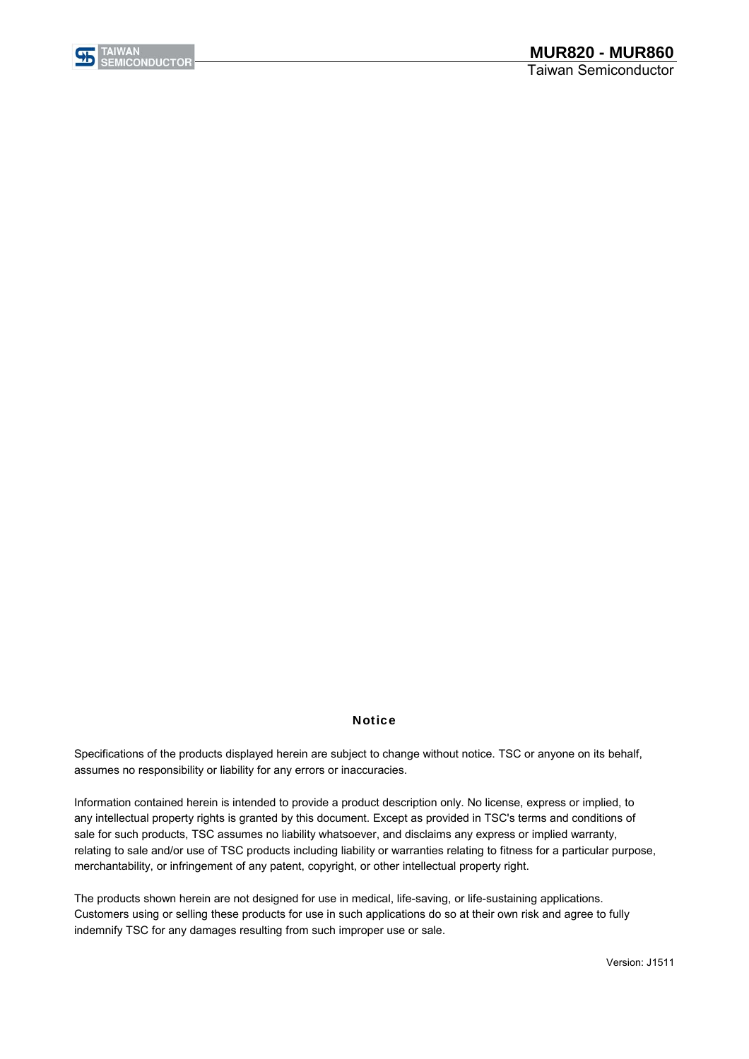

#### **Notice**

assumes no responsibility or liability for any errors or inaccuracies. Specifications of the products displayed herein are subject to change without notice. TSC or anyone on its behalf,

Information contained herein is intended to provide a product description only. No license, express or implied, to any intellectual property rights is granted by this document. Except as provided in TSC's terms and conditions of sale for such products, TSC assumes no liability whatsoever, and disclaims any express or implied warranty, relating to sale and/or use of TSC products including liability or warranties relating to fitness for a particular purpose, merchantability, or infringement of any patent, copyright, or other intellectual property right.

The products shown herein are not designed for use in medical, life-saving, or life-sustaining applications. Customers using or selling these products for use in such applications do so at their own risk and agree to fully indemnify TSC for any damages resulting from such improper use or sale.